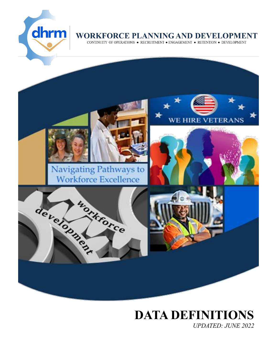

### WORKFORCE PLANNING AND DEVELOPMENT

CONTINUITY OF OPERATIONS . RECRUITMENT . ENGAGEMENT . RETENTION . DEVELOPMENT



# **DATA DEFINITIONS**

*UPDATED: JUNE 2022*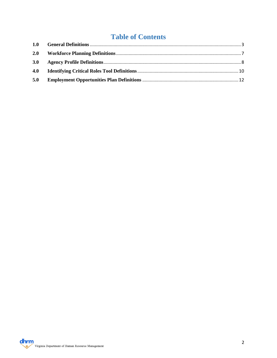### **Table of Contents**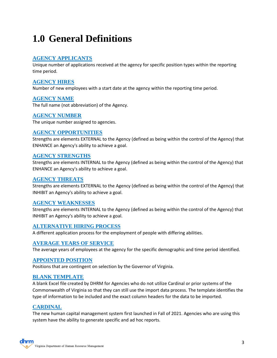### <span id="page-2-0"></span>**1.0 General Definitions**

### **AGENCY APPLICANTS**

Unique number of applications received at the agency for specific position types within the reporting time period.

### **AGENCY HIRES**

Number of new employees with a start date at the agency within the reporting time period.

### **AGENCY NAME**

The full name (not abbreviation) of the Agency.

### **AGENCY NUMBER**

The unique number assigned to agencies.

### **AGENCY OPPORTUNITIES**

Strengths are elements EXTERNAL to the Agency (defined as being within the control of the Agency) that ENHANCE an Agency's ability to achieve a goal.

### **AGENCY STRENGTHS**

Strengths are elements INTERNAL to the Agency (defined as being within the control of the Agency) that ENHANCE an Agency's ability to achieve a goal.

### **AGENCY THREATS**

Strengths are elements EXTERNAL to the Agency (defined as being within the control of the Agency) that INHIBIT an Agency's ability to achieve a goal.

### **AGENCY WEAKNESSES**

Strengths are elements INTERNAL to the Agency (defined as being within the control of the Agency) that INHIBIT an Agency's ability to achieve a goal.

### **ALTERNATIVE HIRING PROCESS**

A different application process for the employment of people with differing abilities.

### **AVERAGE YEARS OF SERVICE**

The average years of employees at the agency for the specific demographic and time period identified.

### **APPOINTED POSITION**

Positions that are contingent on selection by the Governor of Virginia.

### **BLANK TEMPLATE**

A blank Excel file created by DHRM for Agencies who do not utilize Cardinal or prior systems of the Commonwealth of Virginia so that they can still use the import data process. The template identifies the type of information to be included and the exact column headers for the data to be imported.

### **CARDINAL**

The new human capital management system first launched in Fall of 2021. Agencies who are using this system have the ability to generate specific and ad hoc reports.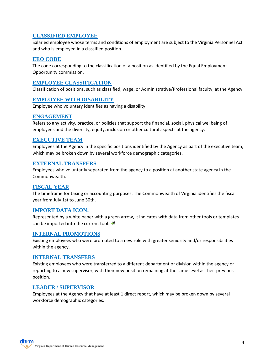### **CLASSIFIED EMPLOYEE**

Salaried employee whose terms and conditions of employment are subject to the Virginia Personnel Act and who is employed in a classified position.

### **EEO CODE**

The code corresponding to the classification of a position as identified by the Equal Employment Opportunity commission.

### **EMPLOYEE CLASSIFICATION**

Classification of positions, such as classified, wage, or Administrative/Professional faculty, at the Agency.

### **EMPLOYEE WITH DISABILITY**

Employee who voluntary identifies as having a disability.

### **ENGAGEMENT**

Refers to any activity, practice, or policies that support the financial, social, physical wellbeing of employees and the diversity, equity, inclusion or other cultural aspects at the agency.

### **EXECUTIVE TEAM**

Employees at the Agency in the specific positions identified by the Agency as part of the executive team, which may be broken down by several workforce demographic categories.

### **EXTERNAL TRANSFERS**

Employees who voluntarily separated from the agency to a position at another state agency in the Commonwealth.

### **FISCAL YEAR**

The timeframe for taxing or accounting purposes. The Commonwealth of Virginia identifies the fiscal year from July 1st to June 30th.

### **IMPORT DATA ICON:**

Represented by a white paper with a green arrow, it indicates with data from other tools or templates can be imported into the current tool.

### **INTERNAL PROMOTIONS**

Existing employees who were promoted to a new role with greater seniority and/or responsibilities within the agency.

### **INTERNAL TRANSFERS**

Existing employees who were transferred to a different department or division within the agency or reporting to a new supervisor, with their new position remaining at the same level as their previous position.

### **LEADER / SUPERVISOR**

Employees at the Agency that have at least 1 direct report, which may be broken down by several workforce demographic categories.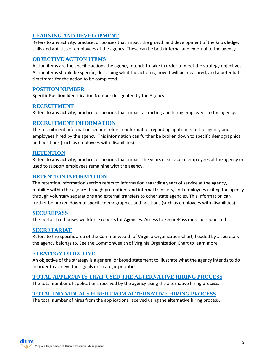### **LEARNING AND DEVELOPMENT**

Refers to any activity, practice, or policies that impact the growth and development of the knowledge, skills and abilities of employees at the agency. These can be both internal and external to the agency.

### **OBJECTIVE ACTION ITEMS**

Action items are the specific actions the agency intends to take in order to meet the strategy objectives. Action items should be specific, describing what the action is, how it will be measured, and a potential timeframe for the action to be completed.

### **POSITION NUMBER**

Specific Position Identification Number designated by the Agency.

### **RECRUITMENT**

Refers to any activity, practice, or policies that impact attracting and hiring employees to the agency.

### **RECRUITMENT INFORMATION**

The recruitment information section refers to information regarding applicants to the agency and employees hired by the agency. This information can further be broken down to specific demographics and positions (such as employees with disabilities).

### **RETENTION**

Refers to any activity, practice, or policies that impact the years of service of employees at the agency or used to support employees remaining with the agency.

### **RETENTION INFORMATION**

The retention information section refers to information regarding years of service at the agency, mobility within the agency through promotions and internal transfers, and employees exiting the agency through voluntary separations and external transfers to other state agencies. This information can further be broken down to specific demographics and positions (such as employees with disabilities).

### **SECUREPASS**

The portal that houses workforce reports for Agencies. Access to SecurePass must be requested.

### **SECRETARIAT**

Refers to the specific area of the Commonwealth of Virginia Organization Chart, headed by a secretary, the agency belongs to. See the Commonwealth of Virginia Organization Chart to learn more.

### **STRATEGY OBJECTIVE**

An objective of the strategy is a general or broad statement to illustrate what the agency intends to do in order to achieve their goals or strategic priorities.

### **TOTAL APPLICANTS THAT USED THE ALTERNATIVE HIRING PROCESS**

The total number of applications received by the agency using the alternative hiring process.

### **TOTAL INDIVIDUALS HIRED FROM ALTERNATIVE HIRING PROCESS**

The total number of hires from the applications received using the alternative hiring process.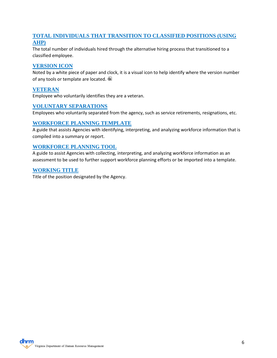### **TOTAL INDIVIDUALS THAT TRANSITION TO CLASSIFIED POSITIONS (USING AHP)**

The total number of individuals hired through the alternative hiring process that transitioned to a classified employee.

### **VERSION ICON**

Noted by a white piece of paper and clock, it is a visual icon to help identify where the version number of any tools or template are located.

### **VETERAN**

Employee who voluntarily identifies they are a veteran.

### **VOLUNTARY SEPARATIONS**

Employees who voluntarily separated from the agency, such as service retirements, resignations, etc.

### **WORKFORCE PLANNING TEMPLATE**

A guide that assists Agencies with identifying, interpreting, and analyzing workforce information that is compiled into a summary or report.

### **WORKFORCE PLANNING TOOL**

A guide to assist Agencies with collecting, interpreting, and analyzing workforce information as an assessment to be used to further support workforce planning efforts or be imported into a template.

### **WORKING TITLE**

Title of the position designated by the Agency.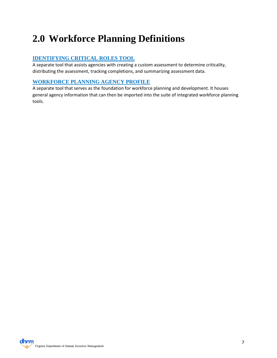### <span id="page-6-0"></span>**2.0 Workforce Planning Definitions**

### **IDENTIFYING CRITICAL ROLES TOOL**

A separate tool that assists agencies with creating a custom assessment to determine criticality, distributing the assessment, tracking completions, and summarizing assessment data.

### **WORKFORCE PLANNING AGENCY PROFILE**

A separate tool that serves as the foundation for workforce planning and development. It houses general agency information that can then be imported into the suite of integrated workforce planning tools.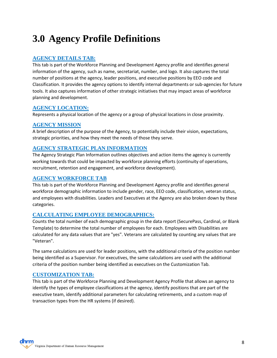### <span id="page-7-0"></span>**3.0 Agency Profile Definitions**

### **AGENCY DETAILS TAB:**

This tab is part of the Workforce Planning and Development Agency profile and identifies general information of the agency, such as name, secretariat, number, and logo. It also captures the total number of positions at the agency, leader positions, and executive positions by EEO code and Classification. It provides the agency options to identify internal departments or sub-agencies for future tools. It also captures information of other strategic initiatives that may impact areas of workforce planning and development.

### **AGENCY LOCATION:**

Represents a physical location of the agency or a group of physical locations in close proximity.

### **AGENCY MISSION**

A brief description of the purpose of the Agency, to potentially include their vision, expectations, strategic priorities, and how they meet the needs of those they serve.

### **AGENCY STRATEGIC PLAN INFORMATION**

The Agency Strategic Plan Information outlines objectives and action items the agency is currently working towards that could be impacted by workforce planning efforts (continuity of operations, recruitment, retention and engagement, and workforce development).

### **AGENCY WORKFORCE TAB**

This tab is part of the Workforce Planning and Development Agency profile and identifies general workforce demographic information to include gender, race, EEO code, classification, veteran status, and employees with disabilities. Leaders and Executives at the Agency are also broken down by these categories.

### **CALCULATING EMPLOYEE DEMOGRAPHICS:**

Counts the total number of each demographic group in the data report (SecurePass, Cardinal, or Blank Template) to determine the total number of employees for each. Employees with Disabilities are calculated for any data values that are "yes". Veterans are calculated by counting any values that are "Veteran".

The same calculations are used for leader positions, with the additional criteria of the position number being identified as a Supervisor. For executives, the same calculations are used with the additional criteria of the position number being identified as executives on the Customization Tab.

### **CUSTOMIZATION TAB:**

This tab is part of the Workforce Planning and Development Agency Profile that allows an agency to identify the types of employee classifications at the agency, identify positions that are part of the executive team, identify additional parameters for calculating retirements, and a custom map of transaction types from the HR systems (if desired).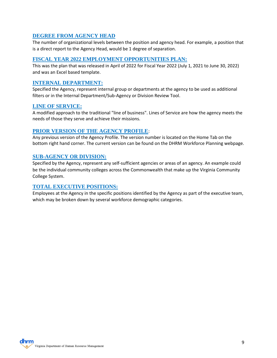### **DEGREE FROM AGENCY HEAD**

The number of organizational levels between the position and agency head. For example, a position that is a direct report to the Agency Head, would be 1 degree of separation.

### **FISCAL YEAR 2022 EMPLOYMENT OPPORTUNITIES PLAN:**

This was the plan that was released in April of 2022 for Fiscal Year 2022 (July 1, 2021 to June 30, 2022) and was an Excel based template.

### **INTERNAL DEPARTMENT:**

Specified the Agency, represent internal group or departments at the agency to be used as additional filters or in the Internal Department/Sub-Agency or Division Review Tool.

### **LINE OF SERVICE:**

A modified approach to the traditional "line of business". Lines of Service are how the agency meets the needs of those they serve and achieve their missions.

### **PRIOR VERSION OF THE AGENCY PROFILE**:

Any previous version of the Agency Profile. The version number is located on the Home Tab on the bottom right hand corner. The current version can be found on the DHRM Workforce Planning webpage.

### **SUB-AGENCY OR DIVISION:**

Specified by the Agency, represent any self-sufficient agencies or areas of an agency. An example could be the individual community colleges across the Commonwealth that make up the Virginia Community College System.

### **TOTAL EXECUTIVE POSITIONS:**

Employees at the Agency in the specific positions identified by the Agency as part of the executive team, which may be broken down by several workforce demographic categories.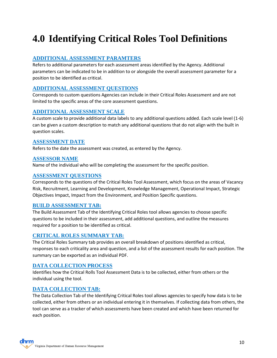# <span id="page-9-0"></span>**4.0 Identifying Critical Roles Tool Definitions**

### **ADDITIONAL ASSESSMENT PARAMTERS**

Refers to additional parameters for each assessment areas identified by the Agency. Additional parameters can be indicated to be in addition to or alongside the overall assessment parameter for a position to be identified as critical.

### **ADDITIONAL ASSESSMENT QUESTIONS**

Corresponds to custom questions Agencies can include in their Critical Roles Assessment and are not limited to the specific areas of the core assessment questions.

### **ADDITIONAL ASSESSMENT SCALE**

A custom scale to provide additional data labels to any additional questions added. Each scale level (1-6) can be given a custom description to match any additional questions that do not align with the built in question scales.

### **ASSESSMENT DATE**

Refers to the date the assessment was created, as entered by the Agency.

### **ASSESSOR NAME**

Name of the individual who will be completing the assessment for the specific position.

### **ASSESSMENT QUESTIONS**

Corresponds to the questions of the Critical Roles Tool Assessment, which focus on the areas of Vacancy Risk, Recruitment, Learning and Development, Knowledge Management, Operational Impact, Strategic Objectives Impact, Impact from the Environment, and Position Specific questions.

### **BUILD ASSESSMENT TAB:**

The Build Assessment Tab of the Identifying Critical Roles tool allows agencies to choose specific questions to be included in their assessment, add additional questions, and outline the measures required for a position to be identified as critical.

### **CRITICAL ROLES SUMMARY TAB:**

The Critical Roles Summary tab provides an overall breakdown of positions identified as critical, responses to each criticality area and question, and a list of the assessment results for each position. The summary can be exported as an individual PDF.

### **DATA COLLECTION PROCESS**

Identifies how the Critical Rolls Tool Assessment Data is to be collected, either from others or the individual using the tool.

### **DATA COLLECTION TAB:**

The Data Collection Tab of the Identifying Critical Roles tool allows agencies to specify how data is to be collected, either from others or an individual entering it in themselves. If collecting data from others, the tool can serve as a tracker of which assessments have been created and which have been returned for each position.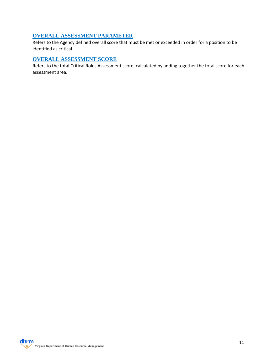### **OVERALL ASSESSMENT PARAMETER**

Refers to the Agency defined overall score that must be met or exceeded in order for a position to be identified as critical.

### **OVERALL ASSESSMENT SCORE**

Refers to the total Critical Roles Assessment score, calculated by adding together the total score for each assessment area.